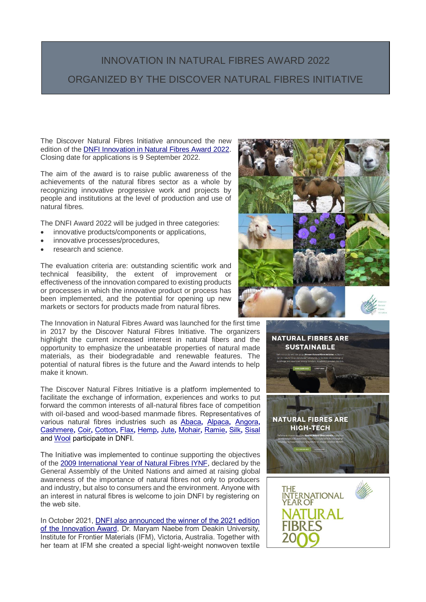## INNOVATION IN NATURAL FIBRES AWARD 2022 ORGANIZED BY THE DISCOVER NATURAL FIBRES INITIATIVE

The Discover Natural Fibres Initiative announced the new edition of the [DNFI Innovation in Natural Fibres Award 2022.](https://dnfi.org/award/dnfi-innovation-in-natural-fibres-award-2022_33815/) Closing date for applications is 9 September 2022.

The aim of the award is to raise public awareness of the achievements of the natural fibres sector as a whole by recognizing innovative progressive work and projects by people and institutions at the level of production and use of natural fibres.

The DNFI Award 2022 will be judged in three categories:

- innovative products/components or applications,
- innovative processes/procedures,
- research and science.

i<br>I

The evaluation criteria are: outstanding scientific work and technical feasibility, the extent of improvement or effectiveness of the innovation compared to existing products or processes in which the innovative product or process has been implemented, and the potential for opening up new markets or sectors for products made from natural fibres.

The Innovation in Natural Fibres Award was launched for the first time in 2017 by the Discover Natural Fibres Initiative. The organizers highlight the current increased interest in natural fibers and the opportunity to emphasize the unbeatable properties of natural made materials, as their biodegradable and renewable features. The potential of natural fibres is the future and the Award intends to help make it known.

The Discover Natural Fibres Initiative is a platform implemented to facilitate the exchange of information, experiences and works to put forward the common interests of all-natural fibres face of competition with oil-based and wood-based manmade fibres. Representatives of various natural fibres industries such as [Abaca](https://dnfi.org/abaca-fibres/)**,** [Alpaca](https://dnfi.org/alpaca-fibres/)**,** [Angora](https://dnfi.org/angora-fibres/)**,**  [Cashmere](https://dnfi.org/cashmere-fibres/)**,** [Coir](https://dnfi.org/coir-fibres/)**,** [Cotton](https://dnfi.org/cotton-fibres/)**,** [Flax](https://dnfi.org/flax-fibres/)**,** [Hemp](https://dnfi.org/hemp-fibres/)**,** [Jute](https://dnfi.org/jute-fibres/)**,** [Mohair](https://dnfi.org/mohair-fibres/)**,** [Ramie](https://dnfi.org/ramie-fibres/)**,** [Silk](https://dnfi.org/silk-fibres/)**,** [Sisal](https://dnfi.org/sisal-fibres/) and [Wool](https://dnfi.org/wool-fibres/) participate in DNFI.

The Initiative was implemented to continue supporting the objectives of the [2009 International Year of Natural Fibres IYNF,](http://www.fao.org/natural-fibres-2009/about/why-natural-fibres/en/) declared by the General Assembly of the United Nations and aimed at raising global awareness of the importance of natural fibres not only to producers and industry, but also to consumers and the environment. Anyone with an interest in natural fibres is welcome to join DNFI by registering on the web site.

In October 2021, [DNFI also announced the winner of the 2021 edition](https://dnfi.org/wool/dr-maryam-naebe-win-2021-dnfi-award_31817/)  [of the Innovation Award,](https://dnfi.org/wool/dr-maryam-naebe-win-2021-dnfi-award_31817/) Dr. Maryam Naebe from Deakin University, Institute for Frontier Materials (IFM), Victoria, Australia. Together with her team at IFM she created a special light-weight nonwoven textile